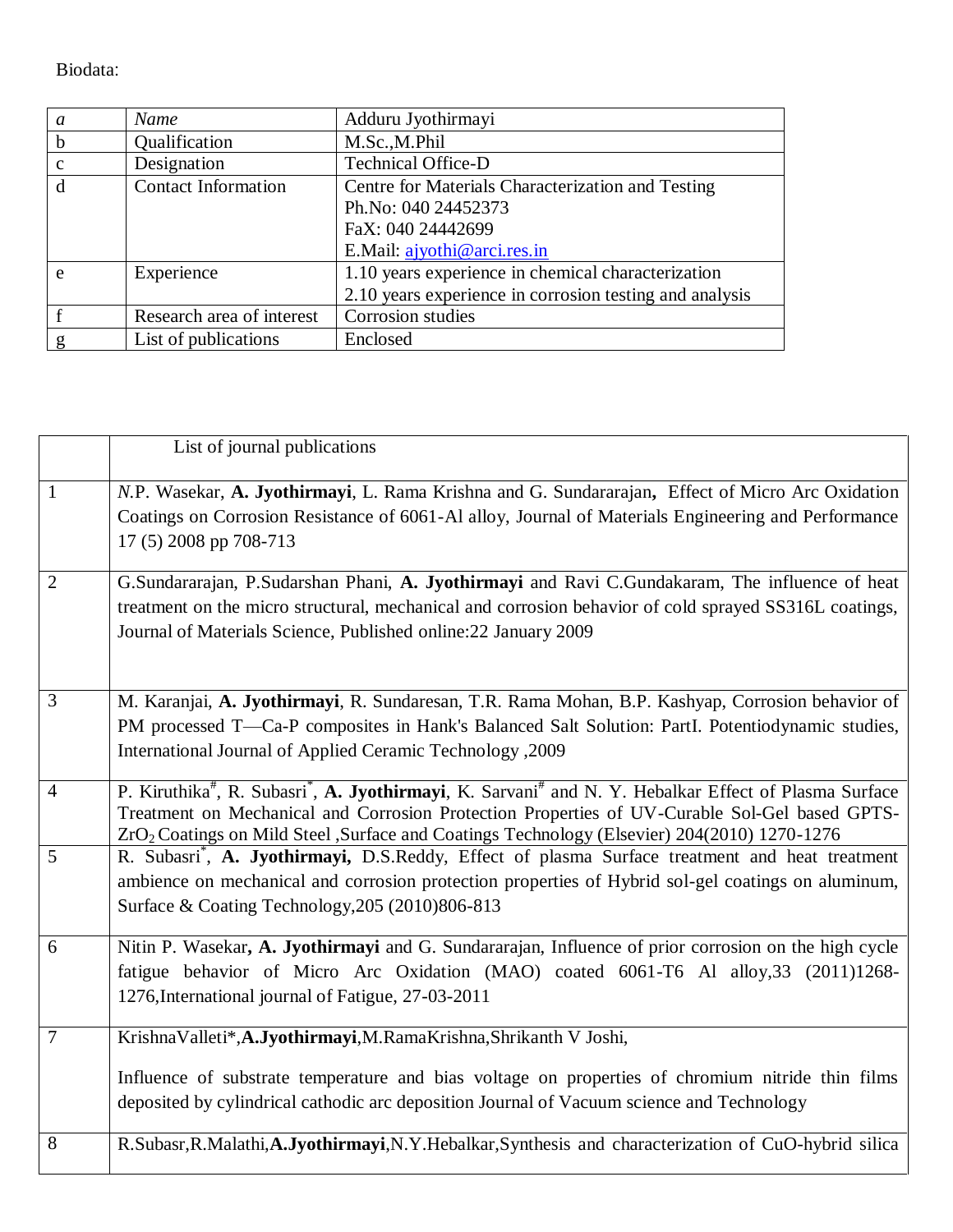Biodata:

| a            | Name                       | Adduru Jyothirmayi                                      |
|--------------|----------------------------|---------------------------------------------------------|
|              |                            | M.Sc., M.Phil                                           |
| b            | Qualification              |                                                         |
| $\mathbf{c}$ | Designation                | Technical Office-D                                      |
| d            | <b>Contact Information</b> | Centre for Materials Characterization and Testing       |
|              |                            | Ph.No: 040 24452373                                     |
|              |                            | FaX: 040 24442699                                       |
|              |                            | E.Mail: ajyothi@arci.res.in                             |
| e            | Experience                 | 1.10 years experience in chemical characterization      |
|              |                            | 2.10 years experience in corrosion testing and analysis |
|              | Research area of interest  | Corrosion studies                                       |
| g            | List of publications       | Enclosed                                                |

|                | List of journal publications                                                                                                                                                                                                                                                                                                                          |
|----------------|-------------------------------------------------------------------------------------------------------------------------------------------------------------------------------------------------------------------------------------------------------------------------------------------------------------------------------------------------------|
| $\mathbf{1}$   | N.P. Wasekar, A. Jyothirmayi, L. Rama Krishna and G. Sundararajan, Effect of Micro Arc Oxidation<br>Coatings on Corrosion Resistance of 6061-Al alloy, Journal of Materials Engineering and Performance<br>17 (5) 2008 pp 708-713                                                                                                                     |
| $\overline{2}$ | G.Sundararajan, P.Sudarshan Phani, A. Jyothirmayi and Ravi C.Gundakaram, The influence of heat<br>treatment on the micro structural, mechanical and corrosion behavior of cold sprayed SS316L coatings,<br>Journal of Materials Science, Published online: 22 January 2009                                                                            |
| $\overline{3}$ | M. Karanjai, A. Jyothirmayi, R. Sundaresan, T.R. Rama Mohan, B.P. Kashyap, Corrosion behavior of<br>PM processed T—Ca-P composites in Hank's Balanced Salt Solution: PartI. Potentiodynamic studies,<br>International Journal of Applied Ceramic Technology , 2009                                                                                    |
| $\overline{4}$ | P. Kiruthika <sup>#</sup> , R. Subasri <sup>*</sup> , A. Jyothirmayi, K. Sarvani <sup>#</sup> and N. Y. Hebalkar Effect of Plasma Surface<br>Treatment on Mechanical and Corrosion Protection Properties of UV-Curable Sol-Gel based GPTS-<br>ZrO <sub>2</sub> Coatings on Mild Steel ,Surface and Coatings Technology (Elsevier) 204(2010) 1270-1276 |
| 5              | R. Subasri <sup>*</sup> , A. Jyothirmayi, D.S.Reddy, Effect of plasma Surface treatment and heat treatment<br>ambience on mechanical and corrosion protection properties of Hybrid sol-gel coatings on aluminum,<br>Surface & Coating Technology, 205 (2010) 806-813                                                                                  |
| 6              | Nitin P. Wasekar, A. Jyothirmayi and G. Sundararajan, Influence of prior corrosion on the high cycle<br>fatigue behavior of Micro Arc Oxidation (MAO) coated 6061-T6 Al alloy, 33 (2011)1268-<br>1276, International journal of Fatigue, 27-03-2011                                                                                                   |
| 7              | KrishnaValleti*,A.Jyothirmayi,M.RamaKrishna,Shrikanth V Joshi,<br>Influence of substrate temperature and bias voltage on properties of chromium nitride thin films<br>deposited by cylindrical cathodic arc deposition Journal of Vacuum science and Technology                                                                                       |
| 8              | R.Subasr, R.Malathi, A.Jyothirmayi, N.Y.Hebalkar, Synthesis and characterization of CuO-hybrid silica                                                                                                                                                                                                                                                 |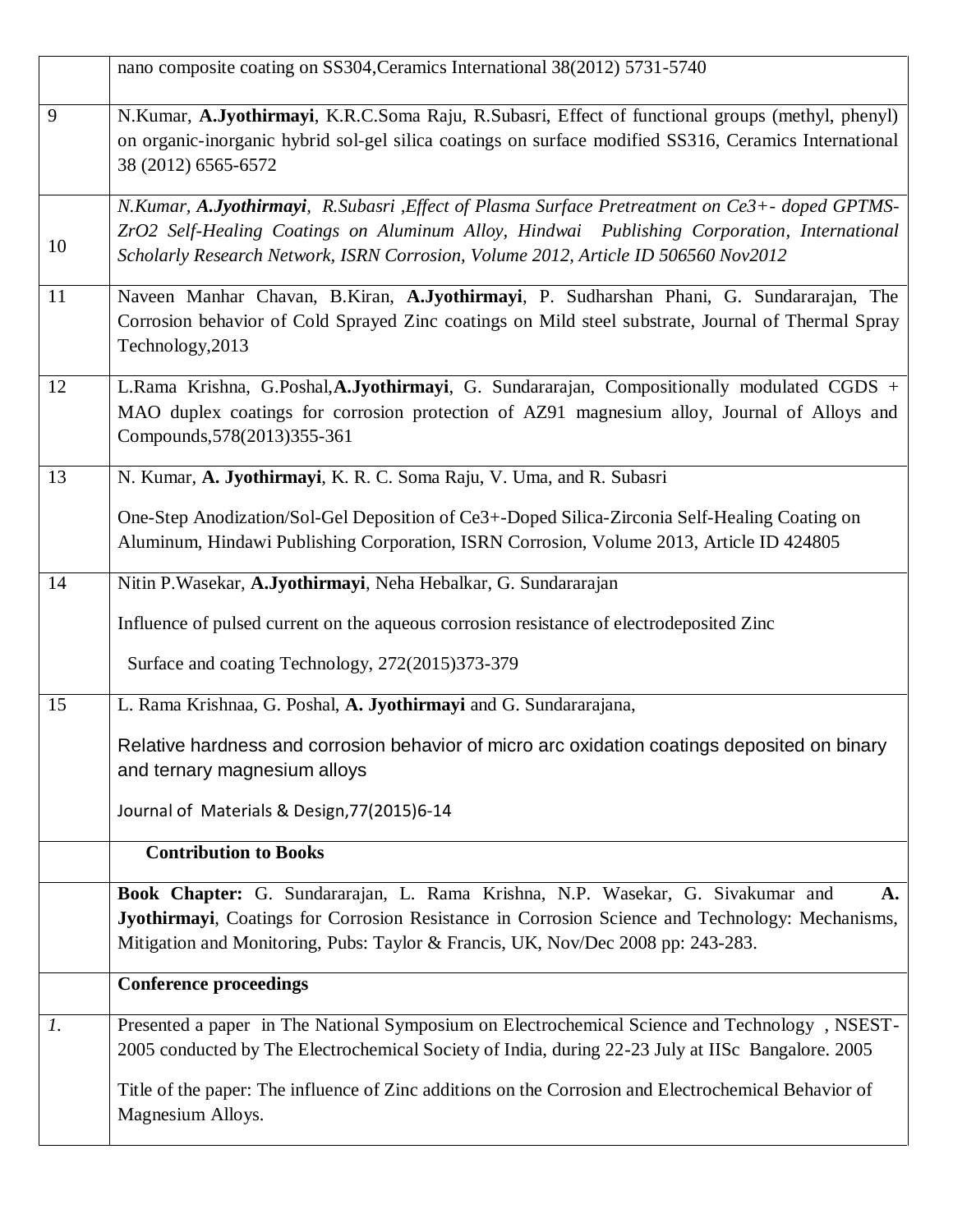|                 | nano composite coating on SS304, Ceramics International 38(2012) 5731-5740                                                                                                                                                                                                           |  |  |
|-----------------|--------------------------------------------------------------------------------------------------------------------------------------------------------------------------------------------------------------------------------------------------------------------------------------|--|--|
| 9               | N.Kumar, A.Jyothirmayi, K.R.C.Soma Raju, R.Subasri, Effect of functional groups (methyl, phenyl)<br>on organic-inorganic hybrid sol-gel silica coatings on surface modified SS316, Ceramics International<br>38 (2012) 6565-6572                                                     |  |  |
| 10              | N.Kumar, A.Jyothirmayi, R.Subasri , Effect of Plasma Surface Pretreatment on Ce3+- doped GPTMS-<br>ZrO2 Self-Healing Coatings on Aluminum Alloy, Hindwai Publishing Corporation, International<br>Scholarly Research Network, ISRN Corrosion, Volume 2012, Article ID 506560 Nov2012 |  |  |
| 11              | Naveen Manhar Chavan, B.Kiran, A.Jyothirmayi, P. Sudharshan Phani, G. Sundararajan, The<br>Corrosion behavior of Cold Sprayed Zinc coatings on Mild steel substrate, Journal of Thermal Spray<br>Technology, 2013                                                                    |  |  |
| 12              | L.Rama Krishna, G.Poshal, A.Jyothirmayi, G. Sundararajan, Compositionally modulated CGDS +<br>MAO duplex coatings for corrosion protection of AZ91 magnesium alloy, Journal of Alloys and<br>Compounds, 578(2013) 355-361                                                            |  |  |
| 13              | N. Kumar, A. Jyothirmayi, K. R. C. Soma Raju, V. Uma, and R. Subasri                                                                                                                                                                                                                 |  |  |
|                 | One-Step Anodization/Sol-Gel Deposition of Ce3+-Doped Silica-Zirconia Self-Healing Coating on<br>Aluminum, Hindawi Publishing Corporation, ISRN Corrosion, Volume 2013, Article ID 424805                                                                                            |  |  |
| 14              | Nitin P. Wasekar, A. Jyothirmayi, Neha Hebalkar, G. Sundararajan                                                                                                                                                                                                                     |  |  |
|                 | Influence of pulsed current on the aqueous corrosion resistance of electrodeposited Zinc                                                                                                                                                                                             |  |  |
|                 | Surface and coating Technology, 272(2015)373-379                                                                                                                                                                                                                                     |  |  |
| 15              | L. Rama Krishnaa, G. Poshal, A. Jyothirmayi and G. Sundararajana,                                                                                                                                                                                                                    |  |  |
|                 | Relative hardness and corrosion behavior of micro arc oxidation coatings deposited on binary<br>and ternary magnesium alloys                                                                                                                                                         |  |  |
|                 | Journal of Materials & Design, 77(2015) 6-14                                                                                                                                                                                                                                         |  |  |
|                 | <b>Contribution to Books</b>                                                                                                                                                                                                                                                         |  |  |
|                 | Book Chapter: G. Sundararajan, L. Rama Krishna, N.P. Wasekar, G. Sivakumar and<br>A.<br>Jyothirmayi, Coatings for Corrosion Resistance in Corrosion Science and Technology: Mechanisms,<br>Mitigation and Monitoring, Pubs: Taylor & Francis, UK, Nov/Dec 2008 pp: 243-283.          |  |  |
|                 | <b>Conference proceedings</b>                                                                                                                                                                                                                                                        |  |  |
| $\mathfrak{1}.$ | Presented a paper in The National Symposium on Electrochemical Science and Technology, NSEST-<br>2005 conducted by The Electrochemical Society of India, during 22-23 July at IISc Bangalore. 2005                                                                                   |  |  |
|                 | Title of the paper: The influence of Zinc additions on the Corrosion and Electrochemical Behavior of<br>Magnesium Alloys.                                                                                                                                                            |  |  |